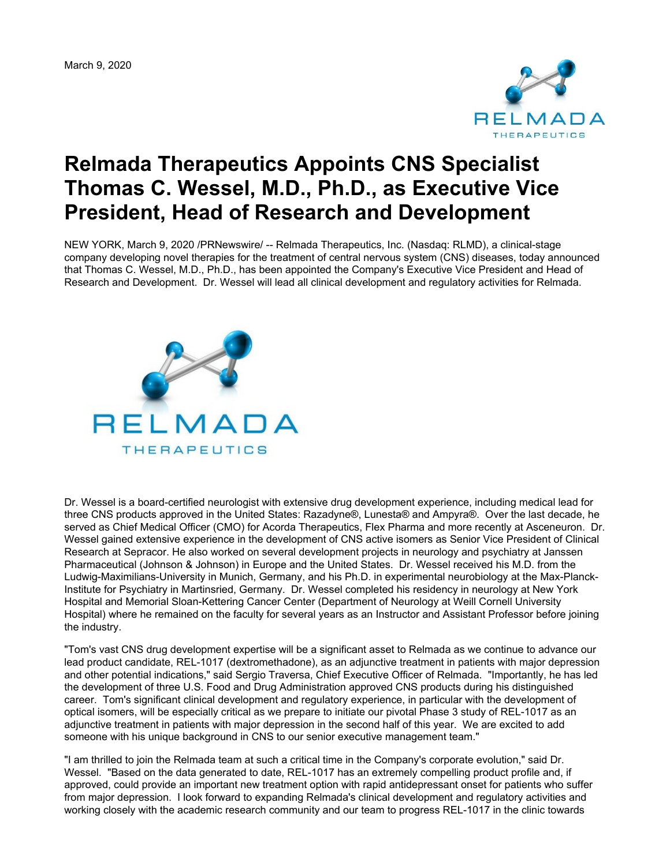

## **Relmada Therapeutics Appoints CNS Specialist Thomas C. Wessel, M.D., Ph.D., as Executive Vice President, Head of Research and Development**

NEW YORK, March 9, 2020 /PRNewswire/ -- Relmada Therapeutics, Inc. (Nasdaq: RLMD), a clinical-stage company developing novel therapies for the treatment of central nervous system (CNS) diseases, today announced that Thomas C. Wessel, M.D., Ph.D., has been appointed the Company's Executive Vice President and Head of Research and Development. Dr. Wessel will lead all clinical development and regulatory activities for Relmada.



Dr. Wessel is a board-certified neurologist with extensive drug development experience, including medical lead for three CNS products approved in the United States: Razadyne®, Lunesta® and Ampyra®. Over the last decade, he served as Chief Medical Officer (CMO) for Acorda Therapeutics, Flex Pharma and more recently at Asceneuron. Dr. Wessel gained extensive experience in the development of CNS active isomers as Senior Vice President of Clinical Research at Sepracor. He also worked on several development projects in neurology and psychiatry at Janssen Pharmaceutical (Johnson & Johnson) in Europe and the United States. Dr. Wessel received his M.D. from the Ludwig-Maximilians-University in Munich, Germany, and his Ph.D. in experimental neurobiology at the Max-Planck-Institute for Psychiatry in Martinsried, Germany. Dr. Wessel completed his residency in neurology at New York Hospital and Memorial Sloan-Kettering Cancer Center (Department of Neurology at Weill Cornell University Hospital) where he remained on the faculty for several years as an Instructor and Assistant Professor before joining the industry.

"Tom's vast CNS drug development expertise will be a significant asset to Relmada as we continue to advance our lead product candidate, REL-1017 (dextromethadone), as an adjunctive treatment in patients with major depression and other potential indications," said Sergio Traversa, Chief Executive Officer of Relmada. "Importantly, he has led the development of three U.S. Food and Drug Administration approved CNS products during his distinguished career. Tom's significant clinical development and regulatory experience, in particular with the development of optical isomers, will be especially critical as we prepare to initiate our pivotal Phase 3 study of REL-1017 as an adjunctive treatment in patients with major depression in the second half of this year. We are excited to add someone with his unique background in CNS to our senior executive management team."

"I am thrilled to join the Relmada team at such a critical time in the Company's corporate evolution," said Dr. Wessel. "Based on the data generated to date, REL-1017 has an extremely compelling product profile and, if approved, could provide an important new treatment option with rapid antidepressant onset for patients who suffer from major depression. I look forward to expanding Relmada's clinical development and regulatory activities and working closely with the academic research community and our team to progress REL-1017 in the clinic towards